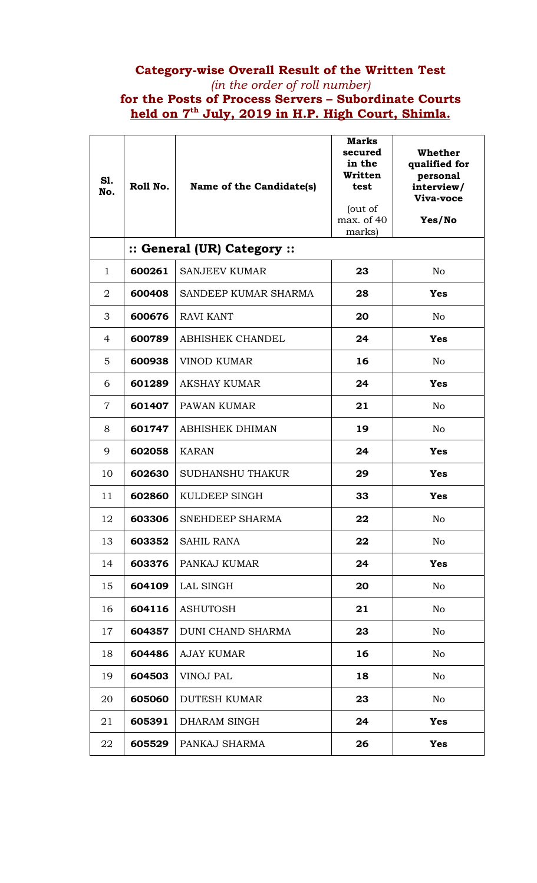## **Category-wise Overall Result of the Written Test**  *(in the order of roll number)*  **for the Posts of Process Servers – Subordinate Courts held on 7th July, 2019 in H.P. High Court, Shimla.**

| <b>S1.</b><br>No. | Roll No. | Name of the Candidate(s)    | <b>Marks</b><br>secured<br>in the<br>Written<br>test<br>(out of<br>max. of 40<br>marks) | Whether<br>qualified for<br>personal<br>interview/<br>Viva-voce<br>Yes/No |
|-------------------|----------|-----------------------------|-----------------------------------------------------------------------------------------|---------------------------------------------------------------------------|
|                   |          | :: General (UR) Category :: |                                                                                         |                                                                           |
| $\mathbf{1}$      | 600261   | <b>SANJEEV KUMAR</b>        | 23                                                                                      | N <sub>o</sub>                                                            |
| $\overline{2}$    | 600408   | SANDEEP KUMAR SHARMA        | 28                                                                                      | <b>Yes</b>                                                                |
| 3                 | 600676   | <b>RAVI KANT</b>            | 20                                                                                      | N <sub>o</sub>                                                            |
| 4                 | 600789   | <b>ABHISHEK CHANDEL</b>     | 24                                                                                      | <b>Yes</b>                                                                |
| 5                 | 600938   | <b>VINOD KUMAR</b>          | 16                                                                                      | N <sub>o</sub>                                                            |
| 6                 | 601289   | <b>AKSHAY KUMAR</b>         | 24                                                                                      | <b>Yes</b>                                                                |
| $\overline{7}$    | 601407   | PAWAN KUMAR                 | 21                                                                                      | N <sub>o</sub>                                                            |
| 8                 | 601747   | <b>ABHISHEK DHIMAN</b>      | 19                                                                                      | N <sub>o</sub>                                                            |
| 9                 | 602058   | <b>KARAN</b>                | 24                                                                                      | <b>Yes</b>                                                                |
| 10                | 602630   | <b>SUDHANSHU THAKUR</b>     | 29                                                                                      | <b>Yes</b>                                                                |
| 11                | 602860   | KULDEEP SINGH               | 33                                                                                      | <b>Yes</b>                                                                |
| 12                | 603306   | SNEHDEEP SHARMA             | 22                                                                                      | No                                                                        |
| 13                | 603352   | <b>SAHIL RANA</b>           | 22                                                                                      | No                                                                        |
| 14                | 603376   | PANKAJ KUMAR                | 24                                                                                      | <b>Yes</b>                                                                |
| 15                | 604109   | LAL SINGH                   | 20                                                                                      | No                                                                        |
| 16                | 604116   | <b>ASHUTOSH</b>             | 21                                                                                      | No                                                                        |
| 17                | 604357   | DUNI CHAND SHARMA           | 23                                                                                      | No                                                                        |
| 18                | 604486   | <b>AJAY KUMAR</b>           | 16                                                                                      | N <sub>o</sub>                                                            |
| 19                | 604503   | <b>VINOJ PAL</b>            | 18                                                                                      | No                                                                        |
| 20                | 605060   | <b>DUTESH KUMAR</b>         | 23                                                                                      | No                                                                        |
| 21                | 605391   | DHARAM SINGH                | 24                                                                                      | <b>Yes</b>                                                                |
| 22                | 605529   | PANKAJ SHARMA               | 26                                                                                      | <b>Yes</b>                                                                |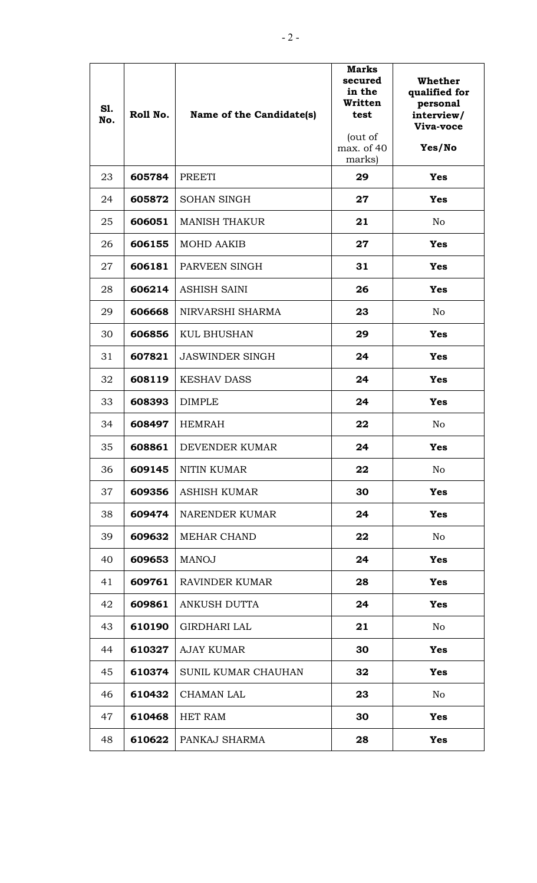| <b>S1.</b><br>No. | Roll No. | Name of the Candidate(s) | <b>Marks</b><br>secured<br>in the<br>Written<br>test<br>(out of<br>max. of 40<br>marks) | <b>Whether</b><br>qualified for<br>personal<br>interview/<br>Viva-voce<br>Yes/No |
|-------------------|----------|--------------------------|-----------------------------------------------------------------------------------------|----------------------------------------------------------------------------------|
| 23                | 605784   | <b>PREETI</b>            | 29                                                                                      | <b>Yes</b>                                                                       |
| 24                | 605872   | <b>SOHAN SINGH</b>       | 27                                                                                      | <b>Yes</b>                                                                       |
| 25                | 606051   | <b>MANISH THAKUR</b>     | 21                                                                                      | N <sub>o</sub>                                                                   |
| 26                | 606155   | <b>MOHD AAKIB</b>        | 27                                                                                      | <b>Yes</b>                                                                       |
| 27                | 606181   | PARVEEN SINGH            | 31                                                                                      | <b>Yes</b>                                                                       |
| 28                | 606214   | <b>ASHISH SAINI</b>      | 26                                                                                      | <b>Yes</b>                                                                       |
| 29                | 606668   | NIRVARSHI SHARMA         | 23                                                                                      | N <sub>o</sub>                                                                   |
| 30                | 606856   | <b>KUL BHUSHAN</b>       | 29                                                                                      | <b>Yes</b>                                                                       |
| 31                | 607821   | <b>JASWINDER SINGH</b>   | 24                                                                                      | <b>Yes</b>                                                                       |
| 32                | 608119   | <b>KESHAV DASS</b>       | 24                                                                                      | <b>Yes</b>                                                                       |
| 33                | 608393   | <b>DIMPLE</b>            | 24                                                                                      | <b>Yes</b>                                                                       |
| 34                | 608497   | <b>HEMRAH</b>            | 22                                                                                      | No                                                                               |
| 35                | 608861   | DEVENDER KUMAR           | 24                                                                                      | <b>Yes</b>                                                                       |
| 36                | 609145   | <b>NITIN KUMAR</b>       | 22                                                                                      | No                                                                               |
| 37                | 609356   | <b>ASHISH KUMAR</b>      | 30                                                                                      | <b>Yes</b>                                                                       |
| 38                | 609474   | <b>NARENDER KUMAR</b>    | 24                                                                                      | <b>Yes</b>                                                                       |
| 39                | 609632   | <b>MEHAR CHAND</b>       | 22                                                                                      | No                                                                               |
| 40                | 609653   | <b>MANOJ</b>             | 24                                                                                      | <b>Yes</b>                                                                       |
| 41                | 609761   | RAVINDER KUMAR           | 28                                                                                      | <b>Yes</b>                                                                       |
| 42                | 609861   | ANKUSH DUTTA             | 24                                                                                      | <b>Yes</b>                                                                       |
| 43                | 610190   | <b>GIRDHARI LAL</b>      | 21                                                                                      | N <sub>o</sub>                                                                   |
| 44                | 610327   | <b>AJAY KUMAR</b>        | 30                                                                                      | Yes                                                                              |
| 45                | 610374   | SUNIL KUMAR CHAUHAN      | 32                                                                                      | <b>Yes</b>                                                                       |
| 46                | 610432   | <b>CHAMAN LAL</b>        | 23                                                                                      | No                                                                               |
| 47                | 610468   | <b>HET RAM</b>           | 30                                                                                      | <b>Yes</b>                                                                       |
| 48                | 610622   | PANKAJ SHARMA            | 28                                                                                      | <b>Yes</b>                                                                       |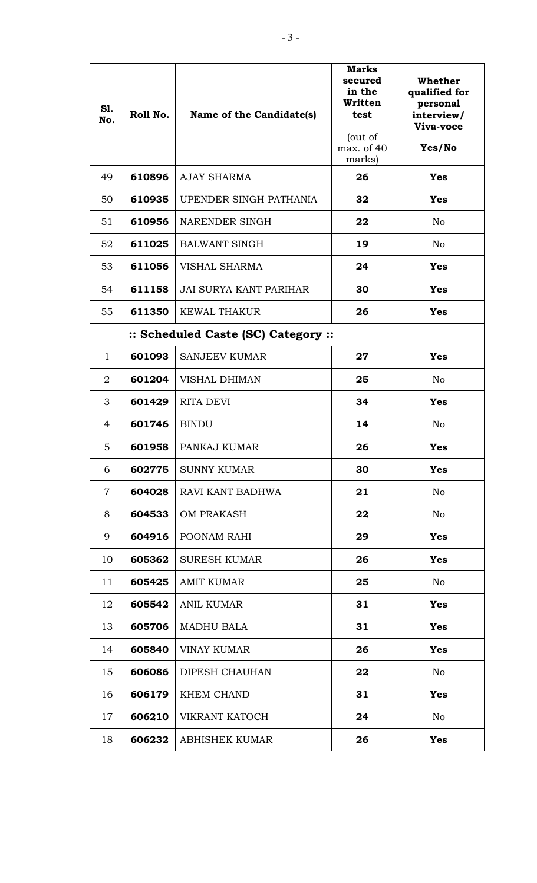| S1.<br>No.     | Roll No.                            | Name of the Candidate(s)      | <b>Marks</b><br>secured<br>in the<br>Written<br>test<br>(out of<br>max. of 40<br>marks) | Whether<br>qualified for<br>personal<br>interview/<br>Viva-voce<br>Yes/No |
|----------------|-------------------------------------|-------------------------------|-----------------------------------------------------------------------------------------|---------------------------------------------------------------------------|
| 49             | 610896                              | <b>AJAY SHARMA</b>            | 26                                                                                      | <b>Yes</b>                                                                |
| 50             | 610935                              | UPENDER SINGH PATHANIA        | 32                                                                                      | <b>Yes</b>                                                                |
| 51             | 610956                              | NARENDER SINGH                | 22                                                                                      | N <sub>o</sub>                                                            |
| 52             | 611025                              | <b>BALWANT SINGH</b>          | 19                                                                                      | N <sub>o</sub>                                                            |
| 53             | 611056                              | VISHAL SHARMA                 | 24                                                                                      | <b>Yes</b>                                                                |
| 54             | 611158                              | <b>JAI SURYA KANT PARIHAR</b> | 30                                                                                      | <b>Yes</b>                                                                |
| 55             | 611350                              | <b>KEWAL THAKUR</b>           | 26                                                                                      | <b>Yes</b>                                                                |
|                | :: Scheduled Caste (SC) Category :: |                               |                                                                                         |                                                                           |
| $\mathbf{1}$   | 601093                              | <b>SANJEEV KUMAR</b>          | 27                                                                                      | <b>Yes</b>                                                                |
| $\overline{2}$ | 601204                              | <b>VISHAL DHIMAN</b>          | 25                                                                                      | N <sub>o</sub>                                                            |
| 3              | 601429                              | <b>RITA DEVI</b>              | 34                                                                                      | <b>Yes</b>                                                                |
| 4              | 601746                              | <b>BINDU</b>                  | 14                                                                                      | N <sub>o</sub>                                                            |
| 5              | 601958                              | PANKAJ KUMAR                  | 26                                                                                      | <b>Yes</b>                                                                |
| 6              | 602775                              | <b>SUNNY KUMAR</b>            | 30                                                                                      | <b>Yes</b>                                                                |
| $\overline{7}$ | 604028                              | RAVI KANT BADHWA              | 21                                                                                      | N <sub>o</sub>                                                            |
| 8              | 604533                              | <b>OM PRAKASH</b>             | 22                                                                                      | No                                                                        |
| 9              | 604916                              | POONAM RAHI                   | 29                                                                                      | <b>Yes</b>                                                                |
| 10             | 605362                              | <b>SURESH KUMAR</b>           | 26                                                                                      | <b>Yes</b>                                                                |
| 11             | 605425                              | <b>AMIT KUMAR</b>             | 25                                                                                      | No                                                                        |
| 12             | 605542                              | <b>ANIL KUMAR</b>             | 31                                                                                      | <b>Yes</b>                                                                |
| 13             | 605706                              | <b>MADHU BALA</b>             | 31                                                                                      | <b>Yes</b>                                                                |
| 14             | 605840                              | <b>VINAY KUMAR</b>            | 26                                                                                      | <b>Yes</b>                                                                |
| 15             | 606086                              | DIPESH CHAUHAN                | 22                                                                                      | No                                                                        |
| 16             | 606179                              | KHEM CHAND                    | 31                                                                                      | <b>Yes</b>                                                                |
| 17             | 606210                              | VIKRANT KATOCH                | 24                                                                                      | No                                                                        |
| 18             | 606232                              | <b>ABHISHEK KUMAR</b>         | 26                                                                                      | <b>Yes</b>                                                                |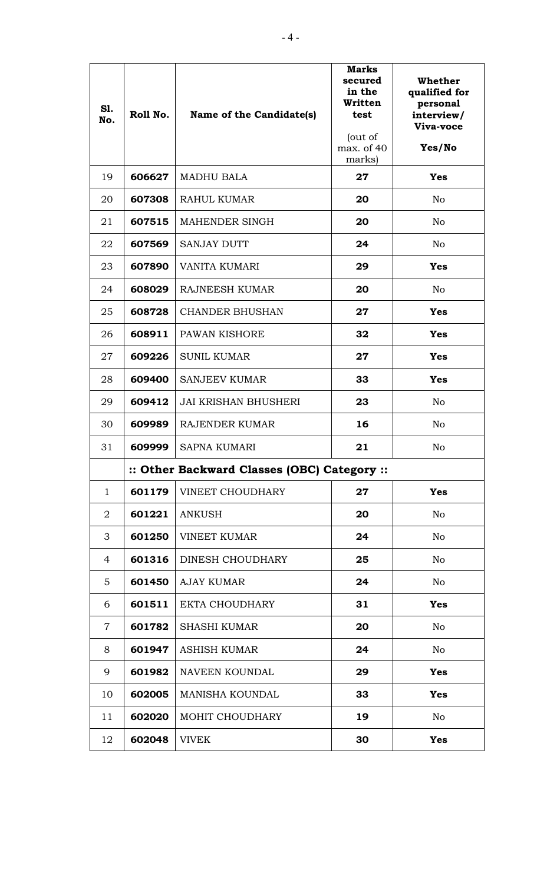| <b>S1.</b><br>No. | Roll No. | Name of the Candidate(s)                    | <b>Marks</b><br>secured<br>in the<br>Written<br>test<br>(out of<br>max. of 40<br>marks) | Whether<br>qualified for<br>personal<br>interview/<br>Viva-voce<br>Yes/No |
|-------------------|----------|---------------------------------------------|-----------------------------------------------------------------------------------------|---------------------------------------------------------------------------|
| 19                | 606627   | <b>MADHU BALA</b>                           | 27                                                                                      | <b>Yes</b>                                                                |
| 20                | 607308   | <b>RAHUL KUMAR</b>                          | 20                                                                                      | No                                                                        |
| 21                | 607515   | <b>MAHENDER SINGH</b>                       | 20                                                                                      | N <sub>o</sub>                                                            |
| 22                | 607569   | <b>SANJAY DUTT</b>                          | 24                                                                                      | N <sub>o</sub>                                                            |
| 23                | 607890   | VANITA KUMARI                               | 29                                                                                      | <b>Yes</b>                                                                |
| 24                | 608029   | <b>RAJNEESH KUMAR</b>                       | 20                                                                                      | N <sub>o</sub>                                                            |
| 25                | 608728   | <b>CHANDER BHUSHAN</b>                      | 27                                                                                      | <b>Yes</b>                                                                |
| 26                | 608911   | PAWAN KISHORE                               | 32                                                                                      | <b>Yes</b>                                                                |
| 27                | 609226   | <b>SUNIL KUMAR</b>                          | 27                                                                                      | <b>Yes</b>                                                                |
| 28                | 609400   | <b>SANJEEV KUMAR</b>                        | 33                                                                                      | <b>Yes</b>                                                                |
| 29                | 609412   | <b>JAI KRISHAN BHUSHERI</b>                 | 23                                                                                      | N <sub>o</sub>                                                            |
| 30                | 609989   | RAJENDER KUMAR                              | 16                                                                                      | N <sub>o</sub>                                                            |
| 31                | 609999   | <b>SAPNA KUMARI</b>                         | 21                                                                                      | No                                                                        |
|                   |          | :: Other Backward Classes (OBC) Category :: |                                                                                         |                                                                           |
| $\mathbf 1$       | 601179   | VINEET CHOUDHARY                            | 27                                                                                      | <b>Yes</b>                                                                |
| 2                 | 601221   | <b>ANKUSH</b>                               | 20                                                                                      | No                                                                        |
| 3                 | 601250   | <b>VINEET KUMAR</b>                         | 24                                                                                      | No                                                                        |
| 4                 | 601316   | DINESH CHOUDHARY                            | 25                                                                                      | N <sub>o</sub>                                                            |
| 5                 | 601450   | <b>AJAY KUMAR</b>                           | 24                                                                                      | No                                                                        |
| 6                 | 601511   | <b>EKTA CHOUDHARY</b>                       | 31                                                                                      | <b>Yes</b>                                                                |
| $\overline{7}$    | 601782   | <b>SHASHI KUMAR</b>                         | 20                                                                                      | N <sub>o</sub>                                                            |
| 8                 | 601947   | <b>ASHISH KUMAR</b>                         | 24                                                                                      | No                                                                        |
| 9                 | 601982   | NAVEEN KOUNDAL                              | 29                                                                                      | <b>Yes</b>                                                                |
| 10                | 602005   | <b>MANISHA KOUNDAL</b>                      | 33                                                                                      | <b>Yes</b>                                                                |
| 11                | 602020   | MOHIT CHOUDHARY                             | 19                                                                                      | No                                                                        |
| 12                | 602048   | <b>VIVEK</b>                                | 30                                                                                      | <b>Yes</b>                                                                |